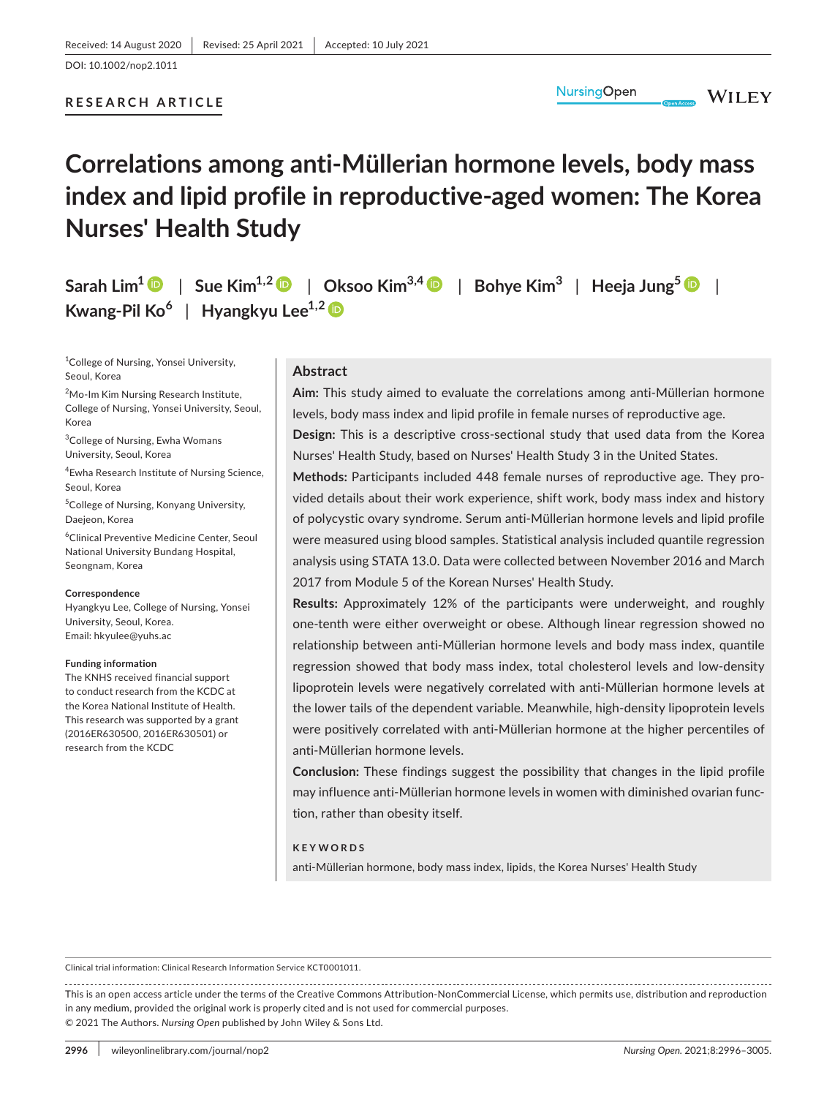### **RESEARCH ARTICLE**

# **Correlations among anti-Müllerian hormone levels, body mass index and lipid profile in reproductive-aged women: The Korea Nurses' Health Study**

**Sarah**  $\text{Lim}^1$  **D** | Sue  $\text{Kim}^{1,2}$  **D** | Oksoo  $\text{Kim}^{3,4}$  $\text{Kim}^{3,4}$  $\text{Kim}^{3,4}$  **D** | Bohye  $\text{Kim}^3$  | Heeja Jung<sup>5</sup> **D** | **Kwang-Pil Ko<sup>6</sup>** | **Hyangkyu Lee1,2**

<sup>1</sup>College of Nursing, Yonsei University, Seoul, Korea

<sup>2</sup>Mo-Im Kim Nursing Research Institute, College of Nursing, Yonsei University, Seoul, Korea

<sup>3</sup>College of Nursing, Ewha Womans University, Seoul, Korea

4 Ewha Research Institute of Nursing Science, Seoul, Korea

5 College of Nursing, Konyang University, Daejeon, Korea

6 Clinical Preventive Medicine Center, Seoul National University Bundang Hospital, Seongnam, Korea

#### **Correspondence**

Hyangkyu Lee, College of Nursing, Yonsei University, Seoul, Korea. Email: [hkyulee@yuhs.ac](mailto:hkyulee@yuhs.ac)

#### **Funding information**

The KNHS received financial support to conduct research from the KCDC at the Korea National Institute of Health. This research was supported by a grant (2016ER630500, 2016ER630501) or research from the KCDC

#### **Abstract**

**Aim:** This study aimed to evaluate the correlations among anti-Müllerian hormone levels, body mass index and lipid profile in female nurses of reproductive age.

**NursingOpen** 

**WILEY** 

**Design:** This is a descriptive cross-sectional study that used data from the Korea Nurses' Health Study, based on Nurses' Health Study 3 in the United States.

**Methods:** Participants included 448 female nurses of reproductive age. They provided details about their work experience, shift work, body mass index and history of polycystic ovary syndrome. Serum anti-Müllerian hormone levels and lipid profile were measured using blood samples. Statistical analysis included quantile regression analysis using STATA 13.0. Data were collected between November 2016 and March 2017 from Module 5 of the Korean Nurses' Health Study.

**Results:** Approximately 12% of the participants were underweight, and roughly one-tenth were either overweight or obese. Although linear regression showed no relationship between anti-Müllerian hormone levels and body mass index, quantile regression showed that body mass index, total cholesterol levels and low-density lipoprotein levels were negatively correlated with anti-Müllerian hormone levels at the lower tails of the dependent variable. Meanwhile, high-density lipoprotein levels were positively correlated with anti-Müllerian hormone at the higher percentiles of anti-Müllerian hormone levels.

**Conclusion:** These findings suggest the possibility that changes in the lipid profile may influence anti-Müllerian hormone levels in women with diminished ovarian function, rather than obesity itself.

#### **KEYWORDS**

anti-Müllerian hormone, body mass index, lipids, the Korea Nurses' Health Study

Clinical trial information: Clinical Research Information Service KCT0001011.

This is an open access article under the terms of the [Creative Commons Attribution-NonCommercial](http://creativecommons.org/licenses/by-nc/4.0/) License, which permits use, distribution and reproduction in any medium, provided the original work is properly cited and is not used for commercial purposes. © 2021 The Authors. *Nursing Open* published by John Wiley & Sons Ltd.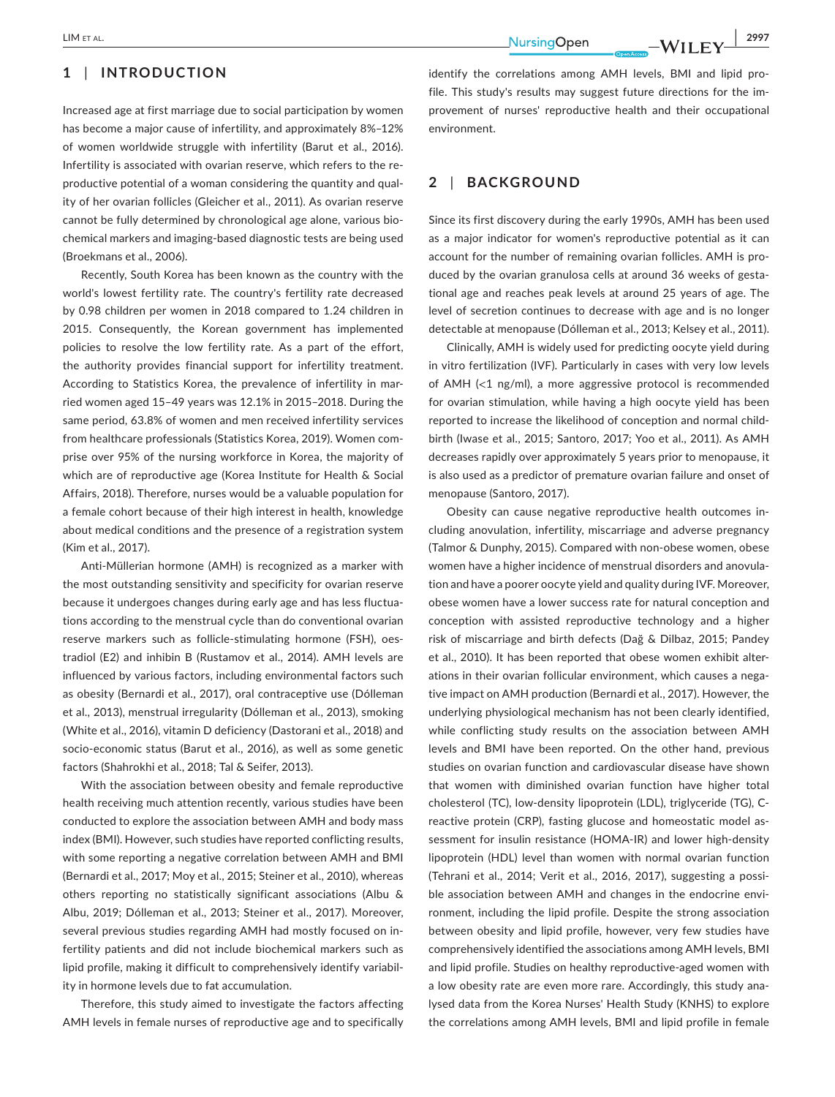# **1** | **INTRODUCTION**

Increased age at first marriage due to social participation by women has become a major cause of infertility, and approximately 8%–12% of women worldwide struggle with infertility (Barut et al., 2016). Infertility is associated with ovarian reserve, which refers to the reproductive potential of a woman considering the quantity and quality of her ovarian follicles (Gleicher et al., 2011). As ovarian reserve cannot be fully determined by chronological age alone, various biochemical markers and imaging-based diagnostic tests are being used (Broekmans et al., 2006).

Recently, South Korea has been known as the country with the world's lowest fertility rate. The country's fertility rate decreased by 0.98 children per women in 2018 compared to 1.24 children in 2015. Consequently, the Korean government has implemented policies to resolve the low fertility rate. As a part of the effort, the authority provides financial support for infertility treatment. According to Statistics Korea, the prevalence of infertility in married women aged 15–49 years was 12.1% in 2015–2018. During the same period, 63.8% of women and men received infertility services from healthcare professionals (Statistics Korea, 2019). Women comprise over 95% of the nursing workforce in Korea, the majority of which are of reproductive age (Korea Institute for Health & Social Affairs, 2018). Therefore, nurses would be a valuable population for a female cohort because of their high interest in health, knowledge about medical conditions and the presence of a registration system (Kim et al., 2017).

Anti-Müllerian hormone (AMH) is recognized as a marker with the most outstanding sensitivity and specificity for ovarian reserve because it undergoes changes during early age and has less fluctuations according to the menstrual cycle than do conventional ovarian reserve markers such as follicle-stimulating hormone (FSH), oestradiol (E2) and inhibin B (Rustamov et al., 2014). AMH levels are influenced by various factors, including environmental factors such as obesity (Bernardi et al., 2017), oral contraceptive use (Dólleman et al., 2013), menstrual irregularity (Dólleman et al., 2013), smoking (White et al., 2016), vitamin D deficiency (Dastorani et al., 2018) and socio-economic status (Barut et al., 2016), as well as some genetic factors (Shahrokhi et al., 2018; Tal & Seifer, 2013).

With the association between obesity and female reproductive health receiving much attention recently, various studies have been conducted to explore the association between AMH and body mass index (BMI). However, such studies have reported conflicting results, with some reporting a negative correlation between AMH and BMI (Bernardi et al., 2017; Moy et al., 2015; Steiner et al., 2010), whereas others reporting no statistically significant associations (Albu & Albu, 2019; Dólleman et al., 2013; Steiner et al., 2017). Moreover, several previous studies regarding AMH had mostly focused on infertility patients and did not include biochemical markers such as lipid profile, making it difficult to comprehensively identify variability in hormone levels due to fat accumulation.

Therefore, this study aimed to investigate the factors affecting AMH levels in female nurses of reproductive age and to specifically

identify the correlations among AMH levels, BMI and lipid profile. This study's results may suggest future directions for the improvement of nurses' reproductive health and their occupational environment.

# **2** | **BACKGROUND**

Since its first discovery during the early 1990s, AMH has been used as a major indicator for women's reproductive potential as it can account for the number of remaining ovarian follicles. AMH is produced by the ovarian granulosa cells at around 36 weeks of gestational age and reaches peak levels at around 25 years of age. The level of secretion continues to decrease with age and is no longer detectable at menopause (Dólleman et al., 2013; Kelsey et al., 2011).

Clinically, AMH is widely used for predicting oocyte yield during in vitro fertilization (IVF). Particularly in cases with very low levels of AMH (<1 ng/ml), a more aggressive protocol is recommended for ovarian stimulation, while having a high oocyte yield has been reported to increase the likelihood of conception and normal childbirth (Iwase et al., 2015; Santoro, 2017; Yoo et al., 2011). As AMH decreases rapidly over approximately 5 years prior to menopause, it is also used as a predictor of premature ovarian failure and onset of menopause (Santoro, 2017).

Obesity can cause negative reproductive health outcomes including anovulation, infertility, miscarriage and adverse pregnancy (Talmor & Dunphy, 2015). Compared with non-obese women, obese women have a higher incidence of menstrual disorders and anovulation and have a poorer oocyte yield and quality during IVF. Moreover, obese women have a lower success rate for natural conception and conception with assisted reproductive technology and a higher risk of miscarriage and birth defects (Dağ & Dilbaz, 2015; Pandey et al., 2010). It has been reported that obese women exhibit alterations in their ovarian follicular environment, which causes a negative impact on AMH production (Bernardi et al., 2017). However, the underlying physiological mechanism has not been clearly identified, while conflicting study results on the association between AMH levels and BMI have been reported. On the other hand, previous studies on ovarian function and cardiovascular disease have shown that women with diminished ovarian function have higher total cholesterol (TC), low-density lipoprotein (LDL), triglyceride (TG), Creactive protein (CRP), fasting glucose and homeostatic model assessment for insulin resistance (HOMA-IR) and lower high-density lipoprotein (HDL) level than women with normal ovarian function (Tehrani et al., 2014; Verit et al., 2016, 2017), suggesting a possible association between AMH and changes in the endocrine environment, including the lipid profile. Despite the strong association between obesity and lipid profile, however, very few studies have comprehensively identified the associations among AMH levels, BMI and lipid profile. Studies on healthy reproductive-aged women with a low obesity rate are even more rare. Accordingly, this study analysed data from the Korea Nurses' Health Study (KNHS) to explore the correlations among AMH levels, BMI and lipid profile in female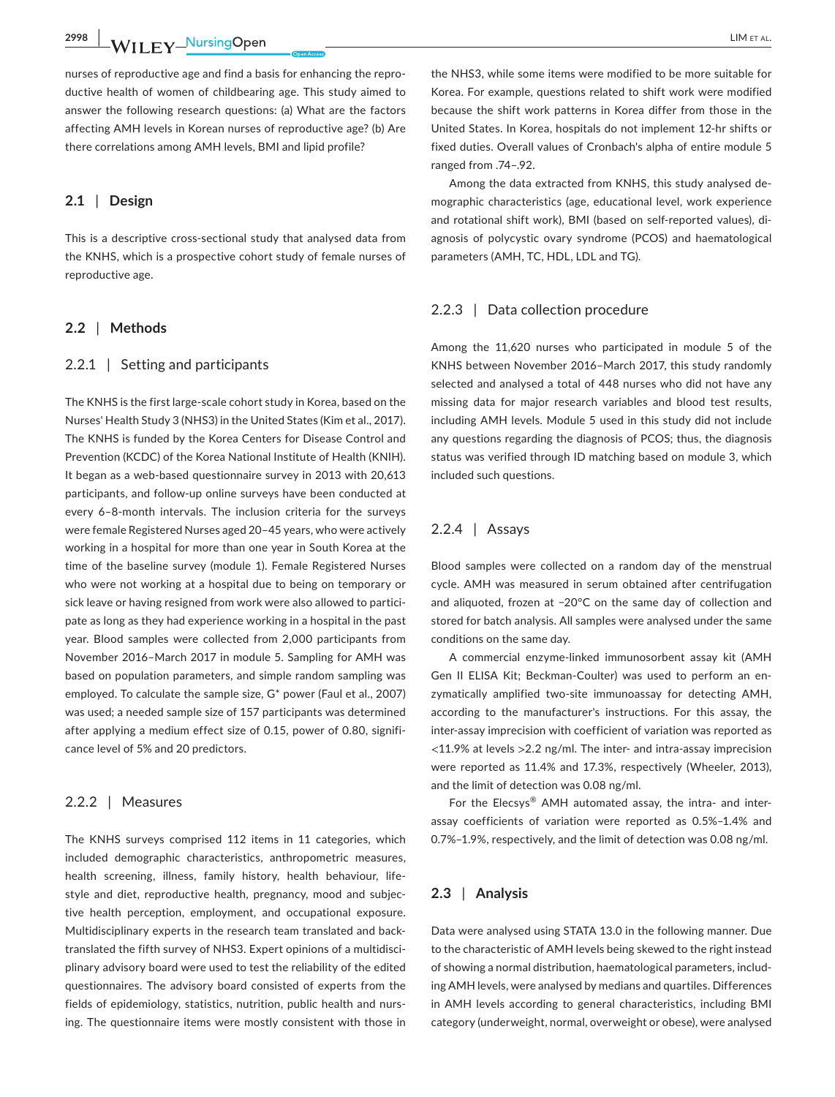**2998 WILEY NursingOpen** LIM ET AL.

nurses of reproductive age and find a basis for enhancing the reproductive health of women of childbearing age. This study aimed to answer the following research questions: (a) What are the factors affecting AMH levels in Korean nurses of reproductive age? (b) Are there correlations among AMH levels, BMI and lipid profile?

### **2.1** | **Design**

This is a descriptive cross-sectional study that analysed data from the KNHS, which is a prospective cohort study of female nurses of reproductive age.

### **2.2** | **Methods**

### 2.2.1 | Setting and participants

The KNHS is the first large-scale cohort study in Korea, based on the Nurses' Health Study 3 (NHS3) in the United States (Kim et al., 2017). The KNHS is funded by the Korea Centers for Disease Control and Prevention (KCDC) of the Korea National Institute of Health (KNIH). It began as a web-based questionnaire survey in 2013 with 20,613 participants, and follow-up online surveys have been conducted at every 6–8-month intervals. The inclusion criteria for the surveys were female Registered Nurses aged 20–45 years, who were actively working in a hospital for more than one year in South Korea at the time of the baseline survey (module 1). Female Registered Nurses who were not working at a hospital due to being on temporary or sick leave or having resigned from work were also allowed to participate as long as they had experience working in a hospital in the past year. Blood samples were collected from 2,000 participants from November 2016–March 2017 in module 5. Sampling for AMH was based on population parameters, and simple random sampling was employed. To calculate the sample size, G\* power (Faul et al., 2007) was used; a needed sample size of 157 participants was determined after applying a medium effect size of 0.15, power of 0.80, significance level of 5% and 20 predictors.

### 2.2.2 | Measures

The KNHS surveys comprised 112 items in 11 categories, which included demographic characteristics, anthropometric measures, health screening, illness, family history, health behaviour, lifestyle and diet, reproductive health, pregnancy, mood and subjective health perception, employment, and occupational exposure. Multidisciplinary experts in the research team translated and backtranslated the fifth survey of NHS3. Expert opinions of a multidisciplinary advisory board were used to test the reliability of the edited questionnaires. The advisory board consisted of experts from the fields of epidemiology, statistics, nutrition, public health and nursing. The questionnaire items were mostly consistent with those in

the NHS3, while some items were modified to be more suitable for Korea. For example, questions related to shift work were modified because the shift work patterns in Korea differ from those in the United States. In Korea, hospitals do not implement 12-hr shifts or fixed duties. Overall values of Cronbach's alpha of entire module 5 ranged from .74–.92.

Among the data extracted from KNHS, this study analysed demographic characteristics (age, educational level, work experience and rotational shift work), BMI (based on self-reported values), diagnosis of polycystic ovary syndrome (PCOS) and haematological parameters (AMH, TC, HDL, LDL and TG).

### 2.2.3 | Data collection procedure

Among the 11,620 nurses who participated in module 5 of the KNHS between November 2016–March 2017, this study randomly selected and analysed a total of 448 nurses who did not have any missing data for major research variables and blood test results, including AMH levels. Module 5 used in this study did not include any questions regarding the diagnosis of PCOS; thus, the diagnosis status was verified through ID matching based on module 3, which included such questions.

### 2.2.4 | Assays

Blood samples were collected on a random day of the menstrual cycle. AMH was measured in serum obtained after centrifugation and aliquoted, frozen at −20°C on the same day of collection and stored for batch analysis. All samples were analysed under the same conditions on the same day.

A commercial enzyme-linked immunosorbent assay kit (AMH Gen II ELISA Kit; Beckman-Coulter) was used to perform an enzymatically amplified two-site immunoassay for detecting AMH, according to the manufacturer's instructions. For this assay, the inter-assay imprecision with coefficient of variation was reported as  $\langle$ 11.9% at levels  $>$ 2.2 ng/ml. The inter- and intra-assay imprecision were reported as 11.4% and 17.3%, respectively (Wheeler, 2013), and the limit of detection was 0.08 ng/ml.

For the Elecsys® AMH automated assay, the intra- and interassay coefficients of variation were reported as 0.5%–1.4% and 0.7%–1.9%, respectively, and the limit of detection was 0.08 ng/ml.

### **2.3** | **Analysis**

Data were analysed using STATA 13.0 in the following manner. Due to the characteristic of AMH levels being skewed to the right instead of showing a normal distribution, haematological parameters, including AMH levels, were analysed by medians and quartiles. Differences in AMH levels according to general characteristics, including BMI category (underweight, normal, overweight or obese), were analysed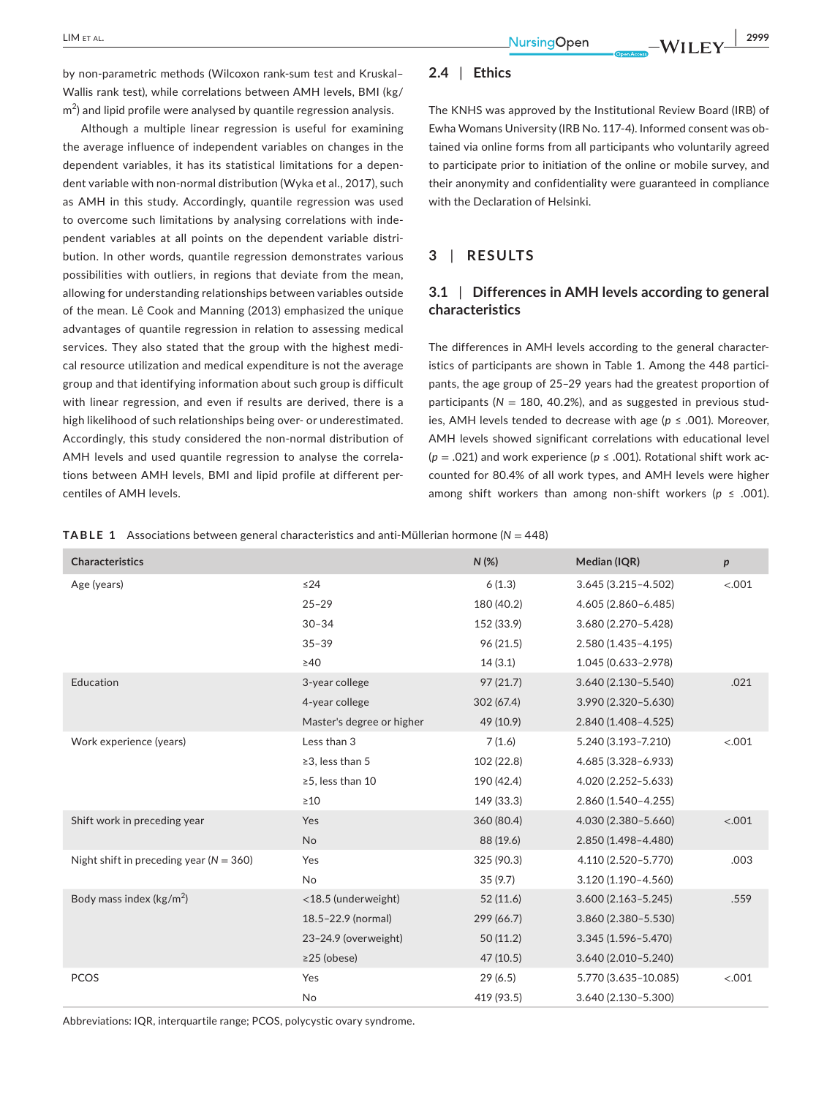by non-parametric methods (Wilcoxon rank-sum test and Kruskal– Wallis rank test), while correlations between AMH levels, BMI (kg/  $\textsf{m}^2$ ) and lipid profile were analysed by quantile regression analysis.

Although a multiple linear regression is useful for examining the average influence of independent variables on changes in the dependent variables, it has its statistical limitations for a dependent variable with non-normal distribution (Wyka et al., 2017), such as AMH in this study. Accordingly, quantile regression was used to overcome such limitations by analysing correlations with independent variables at all points on the dependent variable distribution. In other words, quantile regression demonstrates various possibilities with outliers, in regions that deviate from the mean, allowing for understanding relationships between variables outside of the mean. Lê Cook and Manning (2013) emphasized the unique advantages of quantile regression in relation to assessing medical services. They also stated that the group with the highest medical resource utilization and medical expenditure is not the average group and that identifying information about such group is difficult with linear regression, and even if results are derived, there is a high likelihood of such relationships being over- or underestimated. Accordingly, this study considered the non-normal distribution of AMH levels and used quantile regression to analyse the correlations between AMH levels, BMI and lipid profile at different percentiles of AMH levels.

# **2.4** | **Ethics**

The KNHS was approved by the Institutional Review Board (IRB) of Ewha Womans University (IRB No. 117-4). Informed consent was obtained via online forms from all participants who voluntarily agreed to participate prior to initiation of the online or mobile survey, and their anonymity and confidentiality were guaranteed in compliance with the Declaration of Helsinki.

### **3** | **RESULTS**

# **3.1** | **Differences in AMH levels according to general characteristics**

The differences in AMH levels according to the general characteristics of participants are shown in Table 1. Among the 448 participants, the age group of 25–29 years had the greatest proportion of participants ( $N = 180, 40.2\%$ ), and as suggested in previous studies, AMH levels tended to decrease with age (*). Moreover,* AMH levels showed significant correlations with educational level  $(p = .021)$  and work experience  $(p \le .001)$ . Rotational shift work accounted for 80.4% of all work types, and AMH levels were higher among shift workers than among non-shift workers ( $p \le 0.001$ ).

**TABLE 1** Associations between general characteristics and anti-Müllerian hormone (*N* = 448)

| <b>Characteristics</b>                      |                           | $N$ (%)    | Median (IQR)           | $\boldsymbol{p}$ |
|---------------------------------------------|---------------------------|------------|------------------------|------------------|
| Age (years)                                 | $\leq$ 24                 | 6(1.3)     | 3.645 (3.215-4.502)    | < .001           |
|                                             | $25 - 29$                 | 180 (40.2) | 4.605 (2.860-6.485)    |                  |
|                                             | $30 - 34$                 | 152 (33.9) | 3.680 (2.270-5.428)    |                  |
|                                             | $35 - 39$                 | 96 (21.5)  | 2.580 (1.435-4.195)    |                  |
|                                             | $\geq 40$                 | 14(3.1)    | 1.045 (0.633-2.978)    |                  |
| Education                                   | 3-year college            | 97(21.7)   | 3.640 (2.130-5.540)    | .021             |
|                                             | 4-year college            | 302 (67.4) | 3.990 (2.320-5.630)    |                  |
|                                             | Master's degree or higher | 49 (10.9)  | 2.840 (1.408-4.525)    |                  |
| Work experience (years)                     | Less than 3               | 7(1.6)     | 5.240 (3.193-7.210)    | < .001           |
|                                             | ≥3, less than 5           | 102 (22.8) | 4.685 (3.328-6.933)    |                  |
|                                             | ≥5, less than 10          | 190 (42.4) | 4.020 (2.252-5.633)    |                  |
|                                             | $\geq 10$                 | 149 (33.3) | 2.860 (1.540-4.255)    |                  |
| Shift work in preceding year                | Yes                       | 360 (80.4) | 4.030 (2.380-5.660)    | < .001           |
|                                             | <b>No</b>                 | 88 (19.6)  | 2.850 (1.498-4.480)    |                  |
| Night shift in preceding year ( $N = 360$ ) | Yes                       | 325 (90.3) | 4.110 (2.520-5.770)    | .003             |
|                                             | <b>No</b>                 | 35(9.7)    | 3.120 (1.190-4.560)    |                  |
| Body mass index ( $\text{kg/m}^2$ )         | <18.5 (underweight)       | 52(11.6)   | $3.600(2.163 - 5.245)$ | .559             |
|                                             | 18.5-22.9 (normal)        | 299 (66.7) | 3.860 (2.380-5.530)    |                  |
|                                             | 23-24.9 (overweight)      | 50(11.2)   | 3.345 (1.596-5.470)    |                  |
|                                             | $\geq$ 25 (obese)         | 47 (10.5)  | 3.640 (2.010-5.240)    |                  |
| PCOS                                        | Yes                       | 29(6.5)    | 5.770 (3.635-10.085)   | $-.001$          |
|                                             | No                        | 419 (93.5) | 3.640 (2.130-5.300)    |                  |

Abbreviations: IQR, interquartile range; PCOS, polycystic ovary syndrome.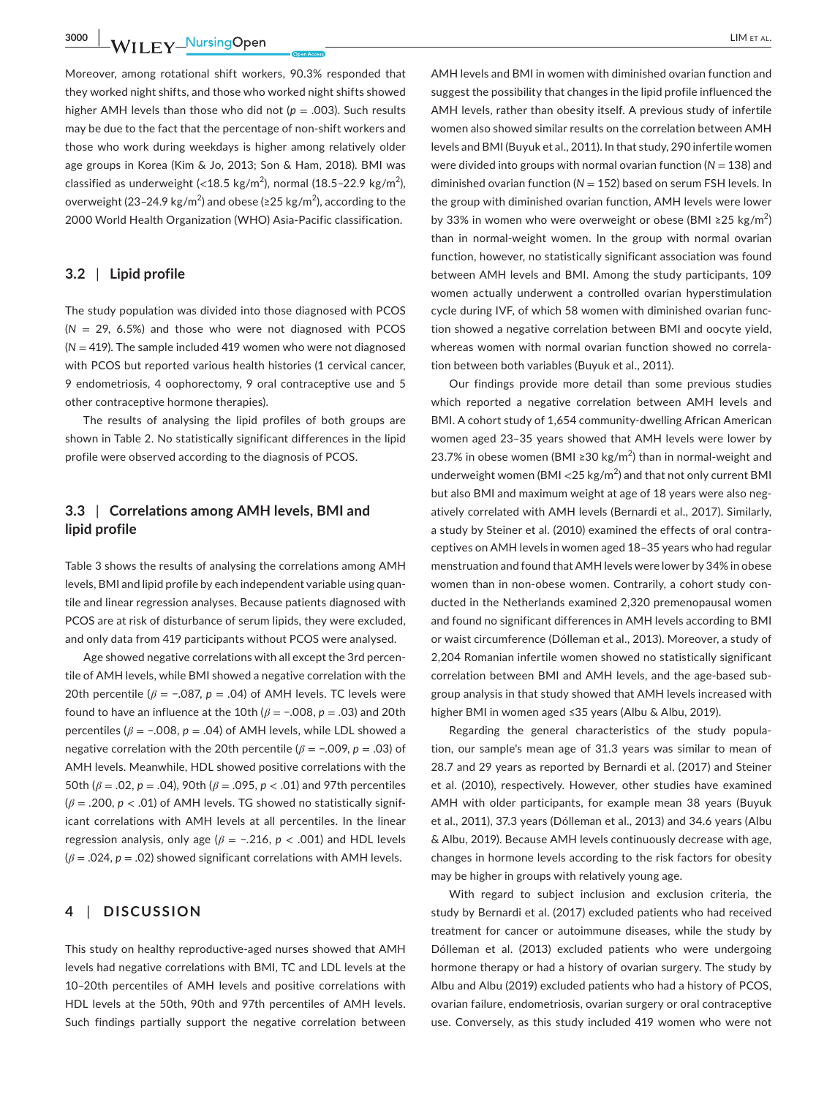**3000 WILEY NursingOpen** LIM ET AL

Moreover, among rotational shift workers, 90.3% responded that they worked night shifts, and those who worked night shifts showed higher AMH levels than those who did not (*p* = .003). Such results may be due to the fact that the percentage of non-shift workers and those who work during weekdays is higher among relatively older age groups in Korea (Kim & Jo, 2013; Son & Ham, 2018). BMI was classified as underweight (<18.5 kg/m<sup>2</sup>), normal (18.5-22.9 kg/m<sup>2</sup>), overweight (23–24.9 kg/m<sup>2</sup>) and obese (≥25 kg/m<sup>2</sup>), according to the 2000 World Health Organization (WHO) Asia-Pacific classification.

### **3.2** | **Lipid profile**

The study population was divided into those diagnosed with PCOS  $(N = 29, 6.5%)$  and those who were not diagnosed with PCOS (*N* = 419). The sample included 419 women who were not diagnosed with PCOS but reported various health histories (1 cervical cancer, 9 endometriosis, 4 oophorectomy, 9 oral contraceptive use and 5 other contraceptive hormone therapies).

The results of analysing the lipid profiles of both groups are shown in Table 2. No statistically significant differences in the lipid profile were observed according to the diagnosis of PCOS.

# **3.3** | **Correlations among AMH levels, BMI and lipid profile**

Table 3 shows the results of analysing the correlations among AMH levels, BMI and lipid profile by each independent variable using quantile and linear regression analyses. Because patients diagnosed with PCOS are at risk of disturbance of serum lipids, they were excluded, and only data from 419 participants without PCOS were analysed.

Age showed negative correlations with all except the 3rd percentile of AMH levels, while BMI showed a negative correlation with the 20th percentile ( $\beta$  = -.087,  $p$  = .04) of AMH levels. TC levels were found to have an influence at the 10th (*β* = −.008, *p* = .03) and 20th percentiles (*β* = −.008, *p* = .04) of AMH levels, while LDL showed a negative correlation with the 20th percentile (*β* = −.009, *p* = .03) of AMH levels. Meanwhile, HDL showed positive correlations with the 50th (*β* = .02, *p* = .04), 90th (*β* = .095, *p* < .01) and 97th percentiles (*β* = .200, *p* < .01) of AMH levels. TG showed no statistically significant correlations with AMH levels at all percentiles. In the linear regression analysis, only age (*β* = −.216, *p* < .001) and HDL levels (*β* = .024, *p* = .02) showed significant correlations with AMH levels.

### **4** | **DISCUSSION**

This study on healthy reproductive-aged nurses showed that AMH levels had negative correlations with BMI, TC and LDL levels at the 10–20th percentiles of AMH levels and positive correlations with HDL levels at the 50th, 90th and 97th percentiles of AMH levels. Such findings partially support the negative correlation between

AMH levels and BMI in women with diminished ovarian function and suggest the possibility that changes in the lipid profile influenced the AMH levels, rather than obesity itself. A previous study of infertile women also showed similar results on the correlation between AMH levels and BMI (Buyuk et al., 2011). In that study, 290 infertile women were divided into groups with normal ovarian function  $(N = 138)$  and diminished ovarian function (*N* = 152) based on serum FSH levels. In the group with diminished ovarian function, AMH levels were lower by 33% in women who were overweight or obese (BMI ≥25 kg/m<sup>2</sup>) than in normal-weight women. In the group with normal ovarian function, however, no statistically significant association was found between AMH levels and BMI. Among the study participants, 109 women actually underwent a controlled ovarian hyperstimulation cycle during IVF, of which 58 women with diminished ovarian function showed a negative correlation between BMI and oocyte yield, whereas women with normal ovarian function showed no correlation between both variables (Buyuk et al., 2011).

Our findings provide more detail than some previous studies which reported a negative correlation between AMH levels and BMI. A cohort study of 1,654 community-dwelling African American women aged 23–35 years showed that AMH levels were lower by 23.7% in obese women (BMI ≥30 kg/m<sup>2</sup>) than in normal-weight and underweight women (BMI  $<$  25 kg/m $^2$ ) and that not only current BMI but also BMI and maximum weight at age of 18 years were also negatively correlated with AMH levels (Bernardi et al., 2017). Similarly, a study by Steiner et al. (2010) examined the effects of oral contraceptives on AMH levels in women aged 18–35 years who had regular menstruation and found that AMH levels were lower by 34% in obese women than in non-obese women. Contrarily, a cohort study conducted in the Netherlands examined 2,320 premenopausal women and found no significant differences in AMH levels according to BMI or waist circumference (Dólleman et al., 2013). Moreover, a study of 2,204 Romanian infertile women showed no statistically significant correlation between BMI and AMH levels, and the age-based subgroup analysis in that study showed that AMH levels increased with higher BMI in women aged ≤35 years (Albu & Albu, 2019).

Regarding the general characteristics of the study population, our sample's mean age of 31.3 years was similar to mean of 28.7 and 29 years as reported by Bernardi et al. (2017) and Steiner et al. (2010), respectively. However, other studies have examined AMH with older participants, for example mean 38 years (Buyuk et al., 2011), 37.3 years (Dólleman et al., 2013) and 34.6 years (Albu & Albu, 2019). Because AMH levels continuously decrease with age, changes in hormone levels according to the risk factors for obesity may be higher in groups with relatively young age.

With regard to subject inclusion and exclusion criteria, the study by Bernardi et al. (2017) excluded patients who had received treatment for cancer or autoimmune diseases, while the study by Dólleman et al. (2013) excluded patients who were undergoing hormone therapy or had a history of ovarian surgery. The study by Albu and Albu (2019) excluded patients who had a history of PCOS, ovarian failure, endometriosis, ovarian surgery or oral contraceptive use. Conversely, as this study included 419 women who were not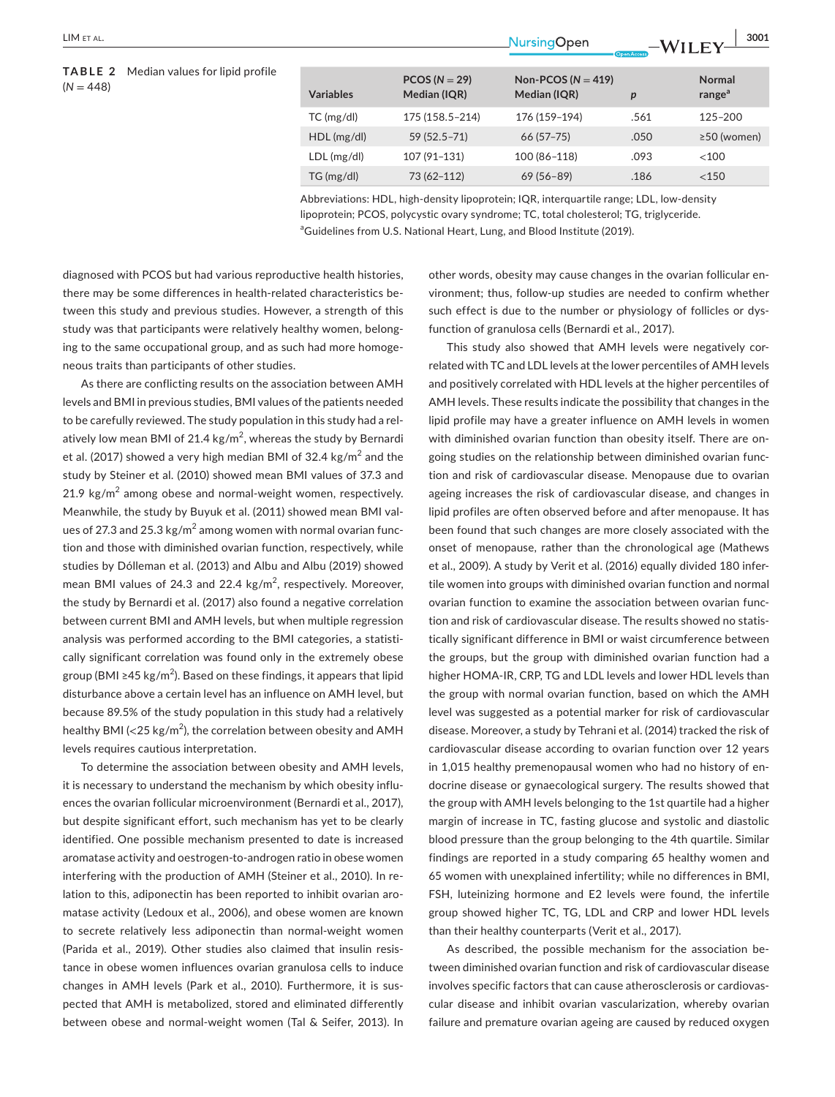### **TABLE 2** Median values for lipid profile  $(N = 448)$

|                  |                                 |                                        | .<br><b>Open Access</b> |                                     |
|------------------|---------------------------------|----------------------------------------|-------------------------|-------------------------------------|
| <b>Variables</b> | $PCOS (N = 29)$<br>Median (IQR) | Non-PCOS ( $N = 419$ )<br>Median (IQR) | p                       | <b>Normal</b><br>range <sup>a</sup> |
| $TC$ (mg/dl)     | 175 (158.5-214)                 | 176 (159-194)                          | .561                    | $125 - 200$                         |
| HDL(mg/dl)       | 59 (52.5 - 71)                  | $66(57-75)$                            | .050                    | $\geq$ 50 (women)                   |
| $LDL$ (mg/dl)    | 107 (91-131)                    | 100 (86-118)                           | .093                    | $<$ 100                             |
| TG (mg/dl)       | 73 (62-112)                     | $69(56 - 89)$                          | .186                    | < 150                               |
|                  |                                 |                                        |                         |                                     |

Abbreviations: HDL, high-density lipoprotein; IQR, interquartile range; LDL, low-density lipoprotein; PCOS, polycystic ovary syndrome; TC, total cholesterol; TG, triglyceride. <sup>a</sup>Guidelines from U.S. National Heart, Lung, and Blood Institute (2019).

diagnosed with PCOS but had various reproductive health histories, there may be some differences in health-related characteristics between this study and previous studies. However, a strength of this study was that participants were relatively healthy women, belonging to the same occupational group, and as such had more homogeneous traits than participants of other studies.

As there are conflicting results on the association between AMH levels and BMI in previous studies, BMI values of the patients needed to be carefully reviewed. The study population in this study had a relatively low mean BMI of 21.4 kg/m $^2$ , whereas the study by Bernardi et al. (2017) showed a very high median BMI of 32.4 kg/m $^2$  and the study by Steiner et al. (2010) showed mean BMI values of 37.3 and  $21.9 \text{ kg/m}^2$  among obese and normal-weight women, respectively. Meanwhile, the study by Buyuk et al. (2011) showed mean BMI values of 27.3 and 25.3 kg/m $^2$  among women with normal ovarian function and those with diminished ovarian function, respectively, while studies by Dólleman et al. (2013) and Albu and Albu (2019) showed mean BMI values of 24.3 and 22.4  $\text{kg/m}^2$ , respectively. Moreover, the study by Bernardi et al. (2017) also found a negative correlation between current BMI and AMH levels, but when multiple regression analysis was performed according to the BMI categories, a statistically significant correlation was found only in the extremely obese group (BMI ≥45 kg/m<sup>2</sup>). Based on these findings, it appears that lipid disturbance above a certain level has an influence on AMH level, but because 89.5% of the study population in this study had a relatively healthy BMI (<25 kg/m<sup>2</sup>), the correlation between obesity and AMH levels requires cautious interpretation.

To determine the association between obesity and AMH levels, it is necessary to understand the mechanism by which obesity influences the ovarian follicular microenvironment (Bernardi et al., 2017), but despite significant effort, such mechanism has yet to be clearly identified. One possible mechanism presented to date is increased aromatase activity and oestrogen-to-androgen ratio in obese women interfering with the production of AMH (Steiner et al., 2010). In relation to this, adiponectin has been reported to inhibit ovarian aromatase activity (Ledoux et al., 2006), and obese women are known to secrete relatively less adiponectin than normal-weight women (Parida et al., 2019). Other studies also claimed that insulin resistance in obese women influences ovarian granulosa cells to induce changes in AMH levels (Park et al., 2010). Furthermore, it is suspected that AMH is metabolized, stored and eliminated differently between obese and normal-weight women (Tal & Seifer, 2013). In

other words, obesity may cause changes in the ovarian follicular environment; thus, follow-up studies are needed to confirm whether such effect is due to the number or physiology of follicles or dysfunction of granulosa cells (Bernardi et al., 2017).

This study also showed that AMH levels were negatively correlated with TC and LDL levels at the lower percentiles of AMH levels and positively correlated with HDL levels at the higher percentiles of AMH levels. These results indicate the possibility that changes in the lipid profile may have a greater influence on AMH levels in women with diminished ovarian function than obesity itself. There are ongoing studies on the relationship between diminished ovarian function and risk of cardiovascular disease. Menopause due to ovarian ageing increases the risk of cardiovascular disease, and changes in lipid profiles are often observed before and after menopause. It has been found that such changes are more closely associated with the onset of menopause, rather than the chronological age (Mathews et al., 2009). A study by Verit et al. (2016) equally divided 180 infertile women into groups with diminished ovarian function and normal ovarian function to examine the association between ovarian function and risk of cardiovascular disease. The results showed no statistically significant difference in BMI or waist circumference between the groups, but the group with diminished ovarian function had a higher HOMA-IR, CRP, TG and LDL levels and lower HDL levels than the group with normal ovarian function, based on which the AMH level was suggested as a potential marker for risk of cardiovascular disease. Moreover, a study by Tehrani et al. (2014) tracked the risk of cardiovascular disease according to ovarian function over 12 years in 1,015 healthy premenopausal women who had no history of endocrine disease or gynaecological surgery. The results showed that the group with AMH levels belonging to the 1st quartile had a higher margin of increase in TC, fasting glucose and systolic and diastolic blood pressure than the group belonging to the 4th quartile. Similar findings are reported in a study comparing 65 healthy women and 65 women with unexplained infertility; while no differences in BMI, FSH, luteinizing hormone and E2 levels were found, the infertile group showed higher TC, TG, LDL and CRP and lower HDL levels than their healthy counterparts (Verit et al., 2017).

As described, the possible mechanism for the association between diminished ovarian function and risk of cardiovascular disease involves specific factors that can cause atherosclerosis or cardiovascular disease and inhibit ovarian vascularization, whereby ovarian failure and premature ovarian ageing are caused by reduced oxygen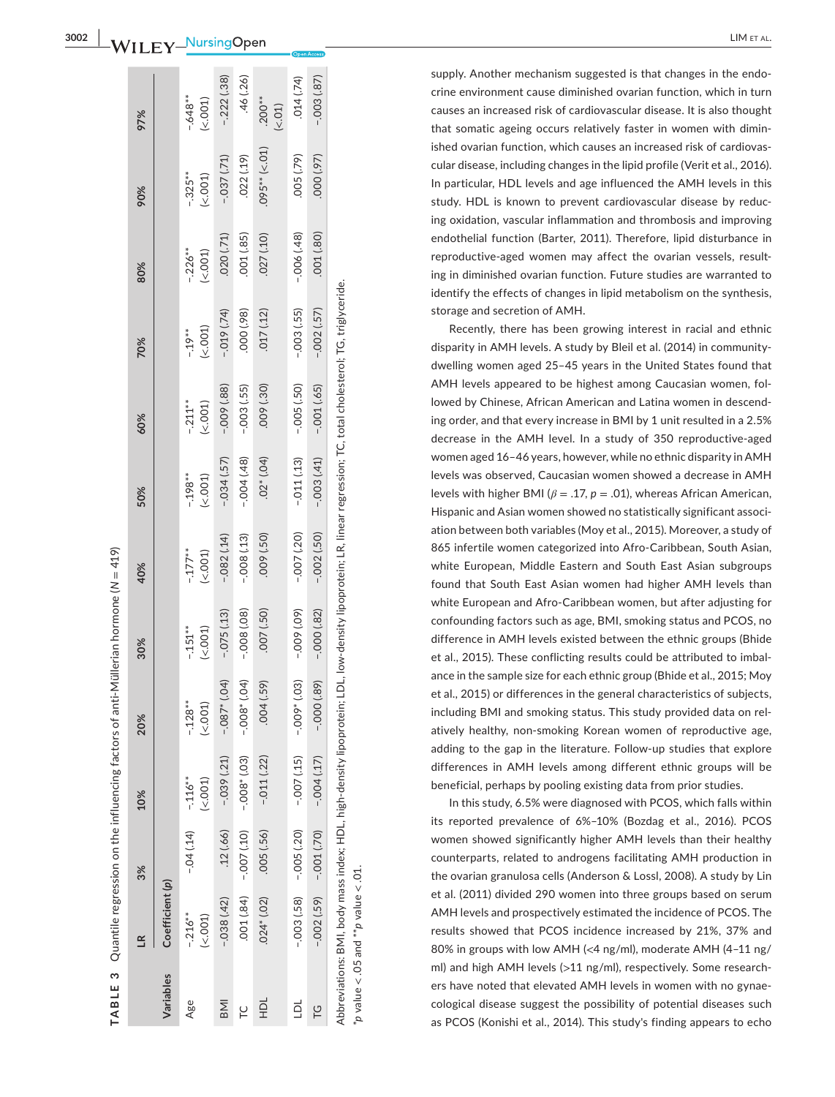supply. Another mechanism suggested is that changes in the endo crine environment cause diminished ovarian function, which in turn causes an increased risk of cardiovascular disease. It is also thought that somatic ageing occurs relatively faster in women with dimin ished ovarian function, which causes an increased risk of cardiovas cular disease, including changes in the lipid profile (Verit et al., 2016). In particular, HDL levels and age influenced the AMH levels in this study. HDL is known to prevent cardiovascular disease by reduc ing oxidation, vascular inflammation and thrombosis and improving endothelial function (Barter, 2011). Therefore, lipid disturbance in reproductive-aged women may affect the ovarian vessels, result ing in diminished ovarian function. Future studies are warranted to identify the effects of changes in lipid metabolism on the synthesis, storage and secretion of AMH.

Recently, there has been growing interest in racial and ethnic disparity in AMH levels. A study by Bleil et al. (2014) in communitydwelling women aged 25–45 years in the United States found that AMH levels appeared to be highest among Caucasian women, fol lowed by Chinese, African American and Latina women in descend ing order, and that every increase in BMI by 1 unit resulted in a 2.5% decrease in the AMH level. In a study of 350 reproductive-aged women aged 16–46 years, however, while no ethnic disparity in AMH levels was observed, Caucasian women showed a decrease in AMH levels with higher BMI ( $\beta = .17$ ,  $p = .01$ ), whereas African American, Hispanic and Asian women showed no statistically significant associ ation between both variables (Moy et al., 2015). Moreover, a study of 865 infertile women categorized into Afro-Caribbean, South Asian, white European, Middle Eastern and South East Asian subgroups found that South East Asian women had higher AMH levels than white European and Afro-Caribbean women, but after adjusting for confounding factors such as age, BMI, smoking status and PCOS, no difference in AMH levels existed between the ethnic groups (Bhide et al., 2015). These conflicting results could be attributed to imbal ance in the sample size for each ethnic group (Bhide et al., 2015; Moy et al., 2015) or differences in the general characteristics of subjects, including BMI and smoking status. This study provided data on rel atively healthy, non-smoking Korean women of reproductive age, adding to the gap in the literature. Follow-up studies that explore differences in AMH levels among different ethnic groups will be beneficial, perhaps by pooling existing data from prior studies.

In this study, 6.5% were diagnosed with PCOS, which falls within its reported prevalence of 6%–10% (Bozdag et al., 2016). PCOS women showed significantly higher AMH levels than their healthy counterparts, related to androgens facilitating AMH production in the ovarian granulosa cells (Anderson & Lossl, 2008). A study by Lin et al. (2011) divided 290 women into three groups based on serum AMH levels and prospectively estimated the incidence of PCOS. The results showed that PCOS incidence increased by 21%, 37% and 80% in groups with low AMH ( < 4 ng/ml), moderate AMH (4–11 ng/ ml) and high AMH levels ( >11 ng/ml), respectively. Some research ers have noted that elevated AMH levels in women with no gynae cological disease suggest the possibility of potential diseases such as PCOS (Konishi et al., 2014). This study's finding appears to echo

Quantile regression on the influencing factors of anti-Müllerian hormone  $N = 419$ Quantile regression on the influencing factors of anti-Müllerian hormone (*N* = 419) **TABLE 3**  TARIF<sub>3</sub>

|            | $\leq$                                                                                                                                                            | 3%                             | 10%                 | 20%                   | 30%                    | 40%                 | 50%                 | 60%                   | 70%                | 80%                 | 90%                 | 97%                  |
|------------|-------------------------------------------------------------------------------------------------------------------------------------------------------------------|--------------------------------|---------------------|-----------------------|------------------------|---------------------|---------------------|-----------------------|--------------------|---------------------|---------------------|----------------------|
| Variables  | Coefficient (p)                                                                                                                                                   |                                |                     |                       |                        |                     |                     |                       |                    |                     |                     |                      |
| Age        | $-.216**$<br>(< 001)                                                                                                                                              | $-0.04(14)$                    | $-.116**$<br>(2001) | $-0.128**$<br>(<.001) | $-1.151**$<br>(< .001) | $-177**$<br>(<.001) | $-198**$<br>(<.001) | $-.211**$<br>$(-001)$ | (<.001)<br>$-19**$ | $-226**$<br>(<.001) | $-325**$<br>(<.001) | $-648**$<br>(< .001) |
| <b>INB</b> | $-.038(.42)$                                                                                                                                                      | .12(.66)                       | $-.039(.21)$        | $(-0.087*(0.04))$     | $-.075(13)$            | $-.082(.14)$        | $-034(.57)$         | $-009(88)$            | $-0.019(74)$       | .020(.71)           | $-.037(.71)$        | $-.222(.38)$         |
| Ľ          | (0.84)                                                                                                                                                            | $-0.00$ $-0.00$ $-0.00$ $-$    |                     | $-0.08$ * $(0.4)$     | $-0.08(0.08)$          | $-0.08(13)$         | $-004(48)$          | $-003(.55)$           | (36')000           | (28, 0001)          | .022(.19)           | .46(.26)             |
| 흪          | $.024*(.02)$                                                                                                                                                      | .005(.56)                      | $-.011(.22)$        | .004(.59)             | $(05)$ (.50)           | .009(.50)           | $.02*(.04)$         | (08, 000.             | .017(.12)          | 027 (.10)           | $095**$ (<.01)      | $.200**$<br>$(-01)$  |
| 흐          |                                                                                                                                                                   | $-0.003$ (.58) $-0.500$ (.500) | $-0.07(15)$         | $-.009*(.03)$         | $(-00, 000 -$          | $-0.007(20)$        | $-.011(13)$         | $-0.005$ $(.50)$      | $-0.03(0.55)$      | $-006(.48)$         | $(62)$ (0.79)       | .014(.74)            |
| ပို        |                                                                                                                                                                   | $-0.002(.59)$ $-0.001(.70)$    | $-004(17)$          | $-000(.89)$           | $-000(0.82)$           | $-0.002$ (.50)      | $-003(41)$          | $-.001(.65)$          | $-002(57)$         | (08, 100.           | 000 (.97)           | $-.003(.87)$         |
|            | Abbreviations: BMI, body mass index; HDL, high-density lipoprotein; LDL, low-density lipoprotein; LR, linear regression; TC, total cholesterol; TG, triglyceride. |                                |                     |                       |                        |                     |                     |                       |                    |                     |                     |                      |

\**p* value < .05 and \*\**p* value < .01.

 $\beta$  value  $\lt$  .05 and  $^{**}$  p value  $\lt$  .01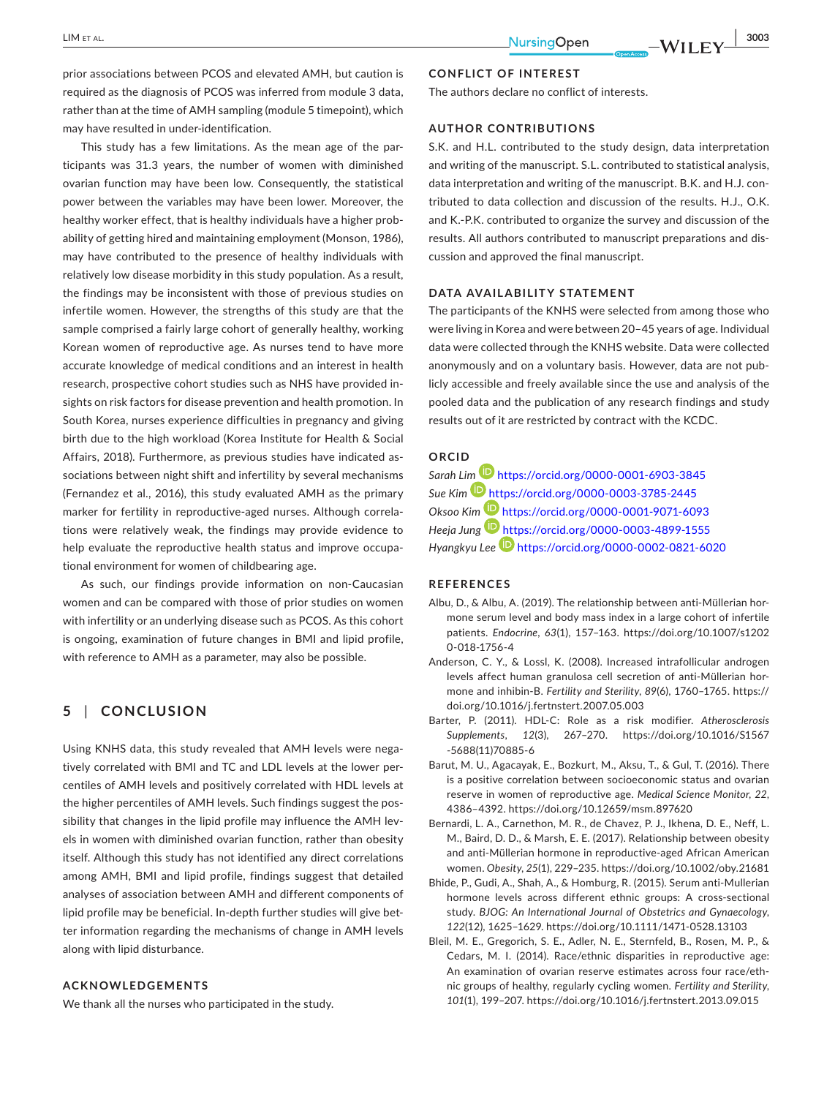prior associations between PCOS and elevated AMH, but caution is required as the diagnosis of PCOS was inferred from module 3 data, rather than at the time of AMH sampling (module 5 timepoint), which may have resulted in under-identification.

This study has a few limitations. As the mean age of the participants was 31.3 years, the number of women with diminished ovarian function may have been low. Consequently, the statistical power between the variables may have been lower. Moreover, the healthy worker effect, that is healthy individuals have a higher probability of getting hired and maintaining employment (Monson, 1986), may have contributed to the presence of healthy individuals with relatively low disease morbidity in this study population. As a result, the findings may be inconsistent with those of previous studies on infertile women. However, the strengths of this study are that the sample comprised a fairly large cohort of generally healthy, working Korean women of reproductive age. As nurses tend to have more accurate knowledge of medical conditions and an interest in health research, prospective cohort studies such as NHS have provided insights on risk factors for disease prevention and health promotion. In South Korea, nurses experience difficulties in pregnancy and giving birth due to the high workload (Korea Institute for Health & Social Affairs, 2018). Furthermore, as previous studies have indicated associations between night shift and infertility by several mechanisms (Fernandez et al., 2016), this study evaluated AMH as the primary marker for fertility in reproductive-aged nurses. Although correlations were relatively weak, the findings may provide evidence to help evaluate the reproductive health status and improve occupational environment for women of childbearing age.

As such, our findings provide information on non-Caucasian women and can be compared with those of prior studies on women with infertility or an underlying disease such as PCOS. As this cohort is ongoing, examination of future changes in BMI and lipid profile, with reference to AMH as a parameter, may also be possible.

# **5** | **CONCLUSION**

Using KNHS data, this study revealed that AMH levels were negatively correlated with BMI and TC and LDL levels at the lower percentiles of AMH levels and positively correlated with HDL levels at the higher percentiles of AMH levels. Such findings suggest the possibility that changes in the lipid profile may influence the AMH levels in women with diminished ovarian function, rather than obesity itself. Although this study has not identified any direct correlations among AMH, BMI and lipid profile, findings suggest that detailed analyses of association between AMH and different components of lipid profile may be beneficial. In-depth further studies will give better information regarding the mechanisms of change in AMH levels along with lipid disturbance.

### **ACKNOWLEDGEMENTS**

We thank all the nurses who participated in the study.

### **CONFLICT OF INTEREST**

The authors declare no conflict of interests.

### **AUTHOR CONTRIBUTIONS**

S.K. and H.L. contributed to the study design, data interpretation and writing of the manuscript. S.L. contributed to statistical analysis, data interpretation and writing of the manuscript. B.K. and H.J. contributed to data collection and discussion of the results. H.J., O.K. and K.-P.K. contributed to organize the survey and discussion of the results. All authors contributed to manuscript preparations and discussion and approved the final manuscript.

#### **DATA AVAILABILITY STATEMENT**

The participants of the KNHS were selected from among those who were living in Korea and were between 20–45 years of age. Individual data were collected through the KNHS website. Data were collected anonymously and on a voluntary basis. However, data are not publicly accessible and freely available since the use and analysis of the pooled data and the publication of any research findings and study results out of it are restricted by contract with the KCDC.

### **ORCID**

*Sarah L[im](https://orcid.org/0000-0003-3785-2445)* <https://orcid.org/0000-0001-6903-3845> *Sue Kim* <https://orcid.org/0000-0003-3785-2445> *Oksoo Kim* <https://orcid.org/0000-0001-9071-6093> *Heeja Jung* <https://orcid.org/0000-0003-4899-1555> *Hyangkyu Lee* <https://orcid.org/0000-0002-0821-6020>

#### **REFERENCES**

- Albu, D., & Albu, A. (2019). The relationship between anti-Müllerian hormone serum level and body mass index in a large cohort of infertile patients. *Endocrine*, *63*(1), 157–163. [https://doi.org/10.1007/s1202](https://doi.org/10.1007/s12020-018-1756-4) [0-018-1756-4](https://doi.org/10.1007/s12020-018-1756-4)
- Anderson, C. Y., & Lossl, K. (2008). Increased intrafollicular androgen levels affect human granulosa cell secretion of anti-Müllerian hormone and inhibin-B. *Fertility and Sterility*, *89*(6), 1760–1765. [https://](https://doi.org/10.1016/j.fertnstert.2007.05.003) [doi.org/10.1016/j.fertnstert.2007.05.003](https://doi.org/10.1016/j.fertnstert.2007.05.003)
- Barter, P. (2011). HDL-C: Role as a risk modifier. *Atherosclerosis Supplements*, *12*(3), 267–270. [https://doi.org/10.1016/S1567](https://doi.org/10.1016/S1567-5688(11)70885-6) [-5688\(11\)70885-6](https://doi.org/10.1016/S1567-5688(11)70885-6)
- Barut, M. U., Agacayak, E., Bozkurt, M., Aksu, T., & Gul, T. (2016). There is a positive correlation between socioeconomic status and ovarian reserve in women of reproductive age. *Medical Science Monitor*, *22*, 4386–4392. <https://doi.org/10.12659/msm.897620>
- Bernardi, L. A., Carnethon, M. R., de Chavez, P. J., Ikhena, D. E., Neff, L. M., Baird, D. D., & Marsh, E. E. (2017). Relationship between obesity and anti-Müllerian hormone in reproductive-aged African American women. *Obesity*, *25*(1), 229–235.<https://doi.org/10.1002/oby.21681>
- Bhide, P., Gudi, A., Shah, A., & Homburg, R. (2015). Serum anti-Mullerian hormone levels across different ethnic groups: A cross-sectional study. *BJOG: An International Journal of Obstetrics and Gynaecology*, *122*(12), 1625–1629. <https://doi.org/10.1111/1471-0528.13103>
- Bleil, M. E., Gregorich, S. E., Adler, N. E., Sternfeld, B., Rosen, M. P., & Cedars, M. I. (2014). Race/ethnic disparities in reproductive age: An examination of ovarian reserve estimates across four race/ethnic groups of healthy, regularly cycling women. *Fertility and Sterility*, *101*(1), 199–207. <https://doi.org/10.1016/j.fertnstert.2013.09.015>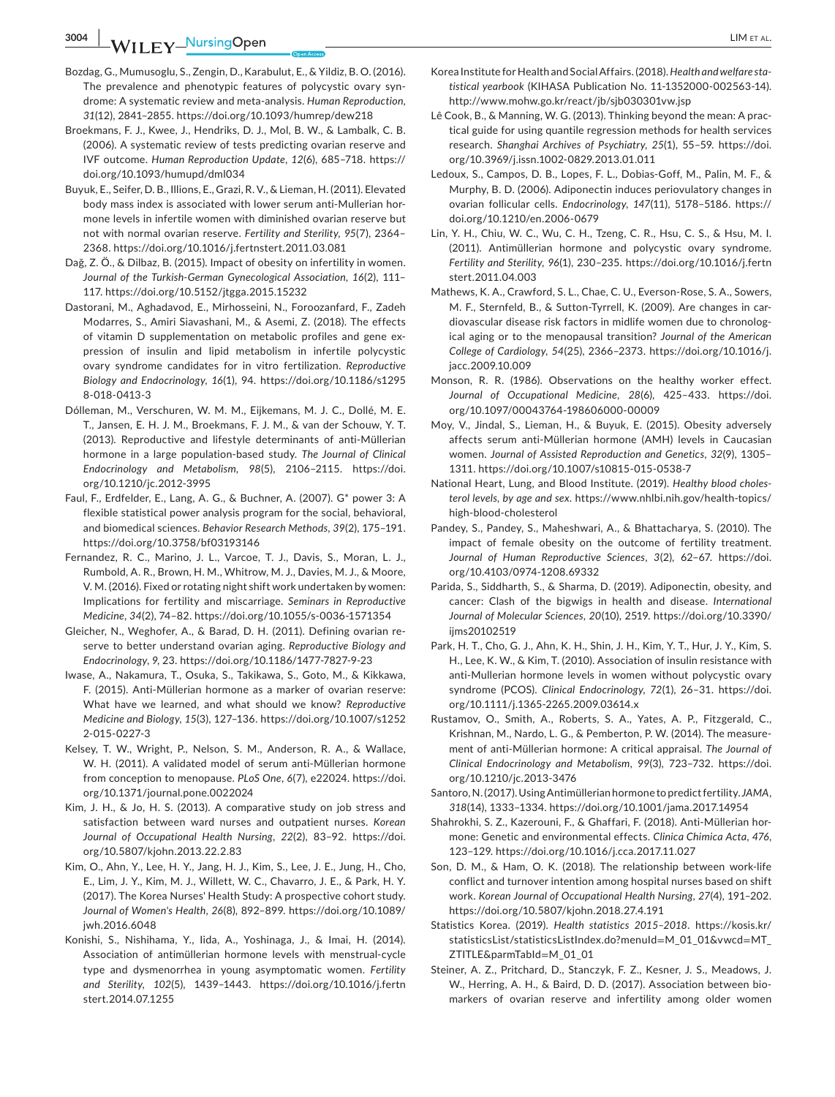**3004 WII FY NursingOpen** LIM ET AL.

- Bozdag, G., Mumusoglu, S., Zengin, D., Karabulut, E., & Yildiz, B. O. (2016). The prevalence and phenotypic features of polycystic ovary syndrome: A systematic review and meta-analysis. *Human Reproduction*, *31*(12), 2841–2855.<https://doi.org/10.1093/humrep/dew218>
- Broekmans, F. J., Kwee, J., Hendriks, D. J., Mol, B. W., & Lambalk, C. B. (2006). A systematic review of tests predicting ovarian reserve and IVF outcome. *Human Reproduction Update*, *12*(6), 685–718. [https://](https://doi.org/10.1093/humupd/dml034) [doi.org/10.1093/humupd/dml034](https://doi.org/10.1093/humupd/dml034)
- Buyuk, E., Seifer, D. B., Illions, E., Grazi, R. V., & Lieman, H. (2011). Elevated body mass index is associated with lower serum anti-Mullerian hormone levels in infertile women with diminished ovarian reserve but not with normal ovarian reserve. *Fertility and Sterility*, *95*(7), 2364– 2368.<https://doi.org/10.1016/j.fertnstert.2011.03.081>
- Dağ, Z. Ö., & Dilbaz, B. (2015). Impact of obesity on infertility in women. *Journal of the Turkish-German Gynecological Association*, *16*(2), 111– 117.<https://doi.org/10.5152/jtgga.2015.15232>
- Dastorani, M., Aghadavod, E., Mirhosseini, N., Foroozanfard, F., Zadeh Modarres, S., Amiri Siavashani, M., & Asemi, Z. (2018). The effects of vitamin D supplementation on metabolic profiles and gene expression of insulin and lipid metabolism in infertile polycystic ovary syndrome candidates for in vitro fertilization. *Reproductive Biology and Endocrinology*, *16*(1), 94. [https://doi.org/10.1186/s1295](https://doi.org/10.1186/s12958-018-0413-3) [8-018-0413-3](https://doi.org/10.1186/s12958-018-0413-3)
- Dólleman, M., Verschuren, W. M. M., Eijkemans, M. J. C., Dollé, M. E. T., Jansen, E. H. J. M., Broekmans, F. J. M., & van der Schouw, Y. T. (2013). Reproductive and lifestyle determinants of anti-Müllerian hormone in a large population-based study. *The Journal of Clinical Endocrinology and Metabolism*, *98*(5), 2106–2115. [https://doi.](https://doi.org/10.1210/jc.2012-3995) [org/10.1210/jc.2012-3995](https://doi.org/10.1210/jc.2012-3995)
- Faul, F., Erdfelder, E., Lang, A. G., & Buchner, A. (2007). G\* power 3: A flexible statistical power analysis program for the social, behavioral, and biomedical sciences. *Behavior Research Methods*, *39*(2), 175–191. <https://doi.org/10.3758/bf03193146>
- Fernandez, R. C., Marino, J. L., Varcoe, T. J., Davis, S., Moran, L. J., Rumbold, A. R., Brown, H. M., Whitrow, M. J., Davies, M. J., & Moore, V. M. (2016). Fixed or rotating night shift work undertaken by women: Implications for fertility and miscarriage. *Seminars in Reproductive Medicine*, *34*(2), 74–82. <https://doi.org/10.1055/s-0036-1571354>
- Gleicher, N., Weghofer, A., & Barad, D. H. (2011). Defining ovarian reserve to better understand ovarian aging. *Reproductive Biology and Endocrinology*, *9*, 23.<https://doi.org/10.1186/1477-7827-9-23>
- Iwase, A., Nakamura, T., Osuka, S., Takikawa, S., Goto, M., & Kikkawa, F. (2015). Anti-Müllerian hormone as a marker of ovarian reserve: What have we learned, and what should we know? *Reproductive Medicine and Biology*, *15*(3), 127–136. [https://doi.org/10.1007/s1252](https://doi.org/10.1007/s12522-015-0227-3) [2-015-0227-3](https://doi.org/10.1007/s12522-015-0227-3)
- Kelsey, T. W., Wright, P., Nelson, S. M., Anderson, R. A., & Wallace, W. H. (2011). A validated model of serum anti-Müllerian hormone from conception to menopause. *PLoS One*, *6*(7), e22024. [https://doi.](https://doi.org/10.1371/journal.pone.0022024) [org/10.1371/journal.pone.0022024](https://doi.org/10.1371/journal.pone.0022024)
- Kim, J. H., & Jo, H. S. (2013). A comparative study on job stress and satisfaction between ward nurses and outpatient nurses. *Korean Journal of Occupational Health Nursing*, *22*(2), 83–92. [https://doi.](https://doi.org/10.5807/kjohn.2013.22.2.83) [org/10.5807/kjohn.2013.22.2.83](https://doi.org/10.5807/kjohn.2013.22.2.83)
- Kim, O., Ahn, Y., Lee, H. Y., Jang, H. J., Kim, S., Lee, J. E., Jung, H., Cho, E., Lim, J. Y., Kim, M. J., Willett, W. C., Chavarro, J. E., & Park, H. Y. (2017). The Korea Nurses' Health Study: A prospective cohort study. *Journal of Women's Health*, *26*(8), 892–899. [https://doi.org/10.1089/](https://doi.org/10.1089/jwh.2016.6048) [jwh.2016.6048](https://doi.org/10.1089/jwh.2016.6048)
- Konishi, S., Nishihama, Y., Iida, A., Yoshinaga, J., & Imai, H. (2014). Association of antimüllerian hormone levels with menstrual-cycle type and dysmenorrhea in young asymptomatic women. *Fertility and Sterility*, *102*(5), 1439–1443. [https://doi.org/10.1016/j.fertn](https://doi.org/10.1016/j.fertnstert.2014.07.1255) [stert.2014.07.1255](https://doi.org/10.1016/j.fertnstert.2014.07.1255)
- Korea Institute for Health and Social Affairs. (2018). *Health and welfare statistical yearbook* (KIHASA Publication No. 11-1352000-002563-14). <http://www.mohw.go.kr/react/jb/sjb030301vw.jsp>
- Lê Cook, B., & Manning, W. G. (2013). Thinking beyond the mean: A practical guide for using quantile regression methods for health services research. *Shanghai Archives of Psychiatry*, *25*(1), 55–59. [https://doi.](https://doi.org/10.3969/j.issn.1002-0829.2013.01.011) [org/10.3969/j.issn.1002-0829.2013.01.011](https://doi.org/10.3969/j.issn.1002-0829.2013.01.011)
- Ledoux, S., Campos, D. B., Lopes, F. L., Dobias-Goff, M., Palin, M. F., & Murphy, B. D. (2006). Adiponectin induces periovulatory changes in ovarian follicular cells. *Endocrinology*, *147*(11), 5178–5186. [https://](https://doi.org/10.1210/en.2006-0679) [doi.org/10.1210/en.2006-0679](https://doi.org/10.1210/en.2006-0679)
- Lin, Y. H., Chiu, W. C., Wu, C. H., Tzeng, C. R., Hsu, C. S., & Hsu, M. I. (2011). Antimüllerian hormone and polycystic ovary syndrome. *Fertility and Sterility*, *96*(1), 230–235. [https://doi.org/10.1016/j.fertn](https://doi.org/10.1016/j.fertnstert.2011.04.003) [stert.2011.04.003](https://doi.org/10.1016/j.fertnstert.2011.04.003)
- Mathews, K. A., Crawford, S. L., Chae, C. U., Everson-Rose, S. A., Sowers, M. F., Sternfeld, B., & Sutton-Tyrrell, K. (2009). Are changes in cardiovascular disease risk factors in midlife women due to chronological aging or to the menopausal transition? *Journal of the American College of Cardiology*, *54*(25), 2366–2373. [https://doi.org/10.1016/j.](https://doi.org/10.1016/j.jacc.2009.10.009) [jacc.2009.10.009](https://doi.org/10.1016/j.jacc.2009.10.009)
- Monson, R. R. (1986). Observations on the healthy worker effect. *Journal of Occupational Medicine*, *28*(6), 425–433. [https://doi.](https://doi.org/10.1097/00043764-198606000-00009) [org/10.1097/00043764-198606000-00009](https://doi.org/10.1097/00043764-198606000-00009)
- Moy, V., Jindal, S., Lieman, H., & Buyuk, E. (2015). Obesity adversely affects serum anti-Müllerian hormone (AMH) levels in Caucasian women. *Journal of Assisted Reproduction and Genetics*, *32*(9), 1305– 1311.<https://doi.org/10.1007/s10815-015-0538-7>
- National Heart, Lung, and Blood Institute. (2019). *Healthy blood cholesterol levels, by age and sex*. [https://www.nhlbi.nih.gov/health-topics/](https://www.nhlbi.nih.gov/health-topics/high-blood-cholesterol) [high-blood-cholesterol](https://www.nhlbi.nih.gov/health-topics/high-blood-cholesterol)
- Pandey, S., Pandey, S., Maheshwari, A., & Bhattacharya, S. (2010). The impact of female obesity on the outcome of fertility treatment. *Journal of Human Reproductive Sciences*, *3*(2), 62–67. [https://doi.](https://doi.org/10.4103/0974-1208.69332) [org/10.4103/0974-1208.69332](https://doi.org/10.4103/0974-1208.69332)
- Parida, S., Siddharth, S., & Sharma, D. (2019). Adiponectin, obesity, and cancer: Clash of the bigwigs in health and disease. *International Journal of Molecular Sciences*, *20*(10), 2519. [https://doi.org/10.3390/](https://doi.org/10.3390/ijms20102519) [ijms20102519](https://doi.org/10.3390/ijms20102519)
- Park, H. T., Cho, G. J., Ahn, K. H., Shin, J. H., Kim, Y. T., Hur, J. Y., Kim, S. H., Lee, K. W., & Kim, T. (2010). Association of insulin resistance with anti-Mullerian hormone levels in women without polycystic ovary syndrome (PCOS). *Clinical Endocrinology*, *72*(1), 26–31. [https://doi.](https://doi.org/10.1111/j.1365-2265.2009.03614.x) [org/10.1111/j.1365-2265.2009.03614.x](https://doi.org/10.1111/j.1365-2265.2009.03614.x)
- Rustamov, O., Smith, A., Roberts, S. A., Yates, A. P., Fitzgerald, C., Krishnan, M., Nardo, L. G., & Pemberton, P. W. (2014). The measurement of anti-Müllerian hormone: A critical appraisal. *The Journal of Clinical Endocrinology and Metabolism*, *99*(3), 723–732. [https://doi.](https://doi.org/10.1210/jc.2013-3476) [org/10.1210/jc.2013-3476](https://doi.org/10.1210/jc.2013-3476)
- Santoro, N. (2017). Using Antimüllerian hormone to predict fertility. *JAMA*, *318*(14), 1333–1334. <https://doi.org/10.1001/jama.2017.14954>
- Shahrokhi, S. Z., Kazerouni, F., & Ghaffari, F. (2018). Anti-Müllerian hormone: Genetic and environmental effects. *Clinica Chimica Acta*, *476*, 123–129. <https://doi.org/10.1016/j.cca.2017.11.027>
- Son, D. M., & Ham, O. K. (2018). The relationship between work-life conflict and turnover intention among hospital nurses based on shift work. *Korean Journal of Occupational Health Nursing*, *27*(4), 191–202. <https://doi.org/10.5807/kjohn.2018.27.4.191>
- Statistics Korea. (2019). *Health statistics 2015–2018*. [https://kosis.kr/](https://kosis.kr/statisticsList/statisticsListIndex.do?menuId=M_01_01&vwcd=MT_ZTITLE&parmTabId=M_01_01) [statisticsList/statisticsListIndex.do?menuId](https://kosis.kr/statisticsList/statisticsListIndex.do?menuId=M_01_01&vwcd=MT_ZTITLE&parmTabId=M_01_01)=M\_01\_01&vwcd=MT [ZTITLE&parmTabId](https://kosis.kr/statisticsList/statisticsListIndex.do?menuId=M_01_01&vwcd=MT_ZTITLE&parmTabId=M_01_01)=M\_01\_01
- Steiner, A. Z., Pritchard, D., Stanczyk, F. Z., Kesner, J. S., Meadows, J. W., Herring, A. H., & Baird, D. D. (2017). Association between biomarkers of ovarian reserve and infertility among older women